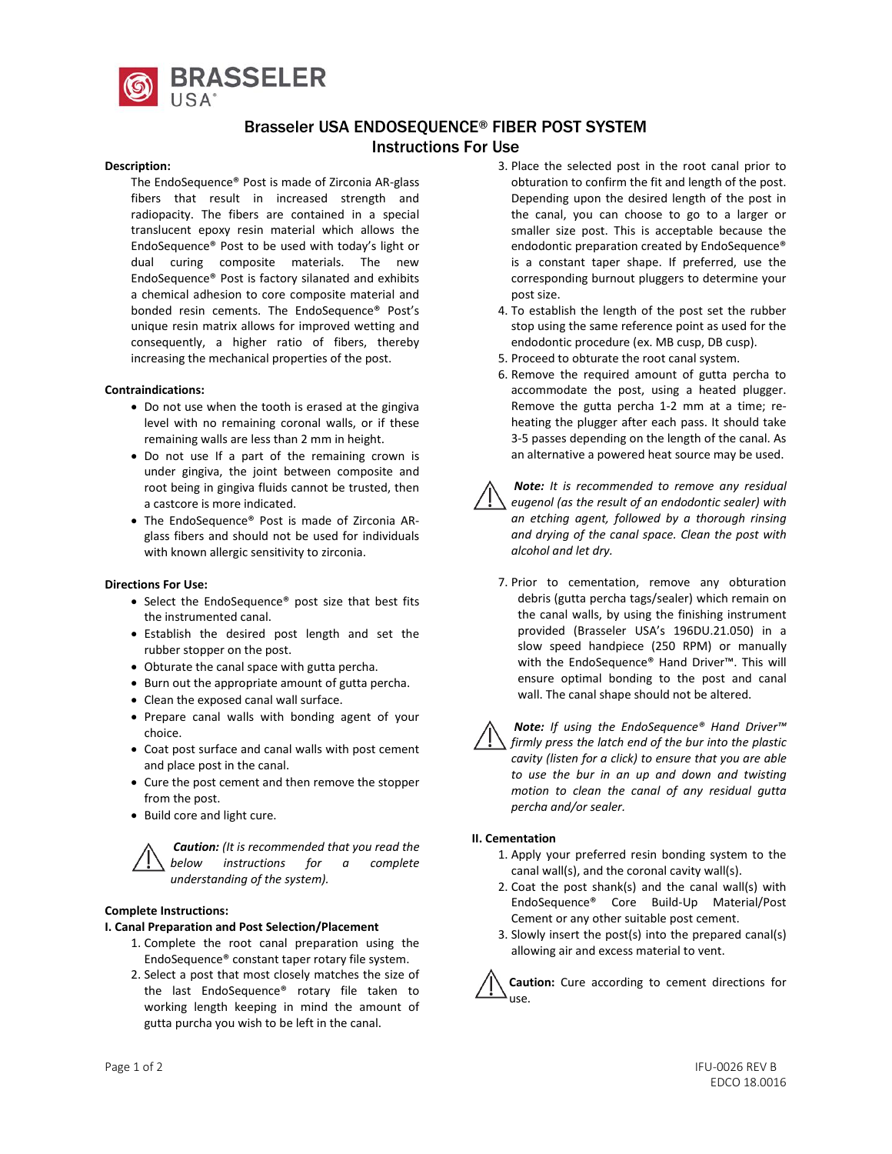

# Brasseler USA ENDOSEQUENCE® FIBER POST SYSTEM Instructions For Use

#### **Description:**

The EndoSequence® Post is made of Zirconia AR-glass fibers that result in increased strength and radiopacity. The fibers are contained in a special translucent epoxy resin material which allows the EndoSequence® Post to be used with today's light or dual curing composite materials. The new EndoSequence® Post is factory silanated and exhibits a chemical adhesion to core composite material and bonded resin cements. The EndoSequence® Post's unique resin matrix allows for improved wetting and consequently, a higher ratio of fibers, thereby increasing the mechanical properties of the post.

#### **Contraindications:**

- Do not use when the tooth is erased at the gingiva level with no remaining coronal walls, or if these remaining walls are less than 2 mm in height.
- Do not use If a part of the remaining crown is under gingiva, the joint between composite and root being in gingiva fluids cannot be trusted, then a castcore is more indicated.
- The EndoSequence® Post is made of Zirconia ARglass fibers and should not be used for individuals with known allergic sensitivity to zirconia.

#### **Directions For Use:**

- Select the EndoSequence® post size that best fits the instrumented canal.
- Establish the desired post length and set the rubber stopper on the post.
- Obturate the canal space with gutta percha.
- Burn out the appropriate amount of gutta percha.
- Clean the exposed canal wall surface.
- Prepare canal walls with bonding agent of your choice.
- Coat post surface and canal walls with post cement and place post in the canal.
- Cure the post cement and then remove the stopper from the post.
- Build core and light cure.

*Caution: (It is recommended that you read the below instructions for a complete understanding of the system).*

#### **Complete Instructions:**

#### **I. Canal Preparation and Post Selection/Placement**

- 1. Complete the root canal preparation using the EndoSequence® constant taper rotary file system.
- 2. Select a post that most closely matches the size of the last EndoSequence® rotary file taken to working length keeping in mind the amount of gutta purcha you wish to be left in the canal.
- 3. Place the selected post in the root canal prior to obturation to confirm the fit and length of the post. Depending upon the desired length of the post in the canal, you can choose to go to a larger or smaller size post. This is acceptable because the endodontic preparation created by EndoSequence® is a constant taper shape. If preferred, use the corresponding burnout pluggers to determine your post size.
- 4. To establish the length of the post set the rubber stop using the same reference point as used for the endodontic procedure (ex. MB cusp, DB cusp).
- 5. Proceed to obturate the root canal system.
- 6. Remove the required amount of gutta percha to accommodate the post, using a heated plugger. Remove the gutta percha 1-2 mm at a time; reheating the plugger after each pass. It should take 3-5 passes depending on the length of the canal. As an alternative a powered heat source may be used.



*Note: It is recommended to remove any residual eugenol (as the result of an endodontic sealer) with an etching agent, followed by a thorough rinsing and drying of the canal space. Clean the post with alcohol and let dry.*

7. Prior to cementation, remove any obturation debris (gutta percha tags/sealer) which remain on the canal walls, by using the finishing instrument provided (Brasseler USA's 196DU.21.050) in a slow speed handpiece (250 RPM) or manually with the EndoSequence® Hand Driver™. This will ensure optimal bonding to the post and canal wall. The canal shape should not be altered.



*Note: If using the EndoSequence® Hand Driver™ firmly press the latch end of the bur into the plastic cavity (listen for a click) to ensure that you are able to use the bur in an up and down and twisting motion to clean the canal of any residual gutta percha and/or sealer.*

#### **II. Cementation**

- 1. Apply your preferred resin bonding system to the canal wall(s), and the coronal cavity wall(s).
- 2. Coat the post shank(s) and the canal wall(s) with EndoSequence® Core Build-Up Material/Post Cement or any other suitable post cement.
- 3. Slowly insert the post(s) into the prepared canal(s) allowing air and excess material to vent.

**Caution:** Cure according to cement directions for use.